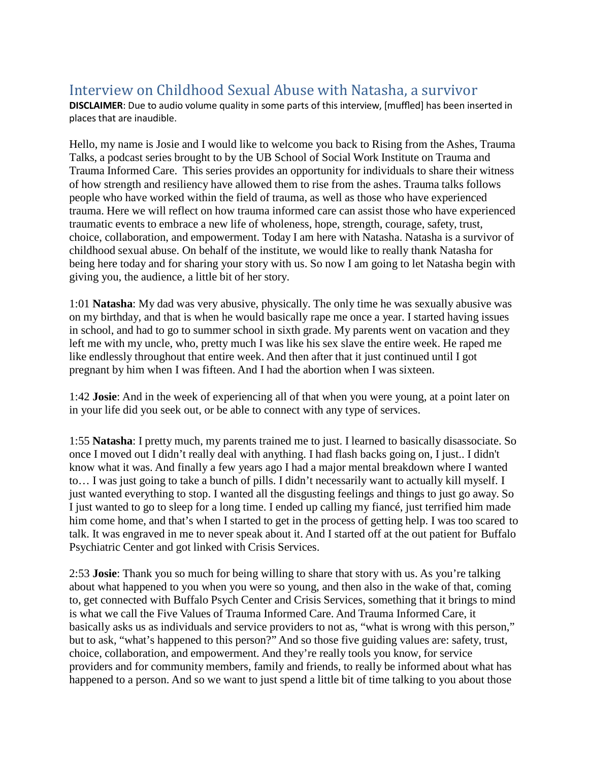## Interview on Childhood Sexual Abuse with Natasha, a survivor

**DISCLAIMER**: Due to audio volume quality in some parts of this interview, [muffled] has been inserted in places that are inaudible.

Hello, my name is Josie and I would like to welcome you back to Rising from the Ashes, Trauma Talks, a podcast series brought to by the UB School of Social Work Institute on Trauma and Trauma Informed Care. This series provides an opportunity for individuals to share their witness of how strength and resiliency have allowed them to rise from the ashes. Trauma talks follows people who have worked within the field of trauma, as well as those who have experienced trauma. Here we will reflect on how trauma informed care can assist those who have experienced traumatic events to embrace a new life of wholeness, hope, strength, courage, safety, trust, choice, collaboration, and empowerment. Today I am here with Natasha. Natasha is a survivor of childhood sexual abuse. On behalf of the institute, we would like to really thank Natasha for being here today and for sharing your story with us. So now I am going to let Natasha begin with giving you, the audience, a little bit of her story.

1:01 **Natasha**: My dad was very abusive, physically. The only time he was sexually abusive was on my birthday, and that is when he would basically rape me once a year. I started having issues in school, and had to go to summer school in sixth grade. My parents went on vacation and they left me with my uncle, who, pretty much I was like his sex slave the entire week. He raped me like endlessly throughout that entire week. And then after that it just continued until I got pregnant by him when I was fifteen. And I had the abortion when I was sixteen.

1:42 **Josie**: And in the week of experiencing all of that when you were young, at a point later on in your life did you seek out, or be able to connect with any type of services.

1:55 **Natasha**: I pretty much, my parents trained me to just. I learned to basically disassociate. So once I moved out I didn't really deal with anything. I had flash backs going on, I just.. I didn't know what it was. And finally a few years ago I had a major mental breakdown where I wanted to… I was just going to take a bunch of pills. I didn't necessarily want to actually kill myself. I just wanted everything to stop. I wanted all the disgusting feelings and things to just go away. So I just wanted to go to sleep for a long time. I ended up calling my fiancé, just terrified him made him come home, and that's when I started to get in the process of getting help. I was too scared to talk. It was engraved in me to never speak about it. And I started off at the out patient for Buffalo Psychiatric Center and got linked with Crisis Services.

2:53 **Josie**: Thank you so much for being willing to share that story with us. As you're talking about what happened to you when you were so young, and then also in the wake of that, coming to, get connected with Buffalo Psych Center and Crisis Services, something that it brings to mind is what we call the Five Values of Trauma Informed Care. And Trauma Informed Care, it basically asks us as individuals and service providers to not as, "what is wrong with this person," but to ask, "what's happened to this person?" And so those five guiding values are: safety, trust, choice, collaboration, and empowerment. And they're really tools you know, for service providers and for community members, family and friends, to really be informed about what has happened to a person. And so we want to just spend a little bit of time talking to you about those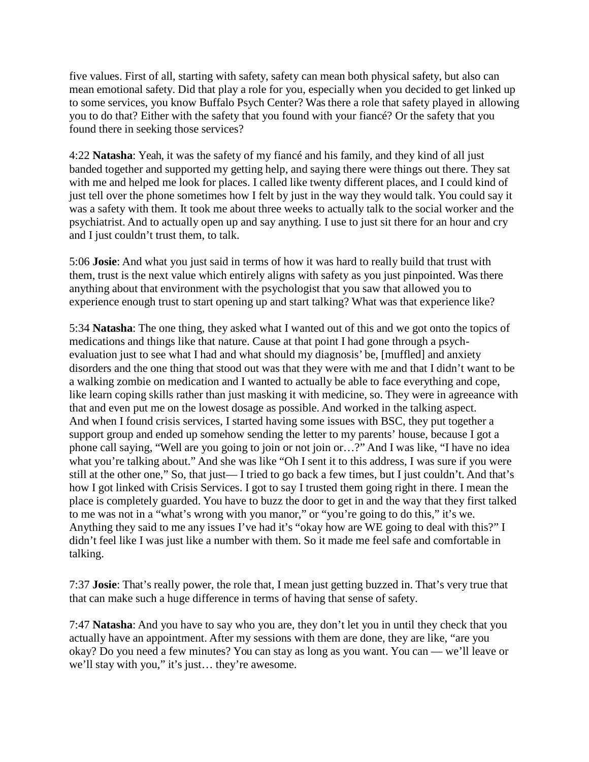five values. First of all, starting with safety, safety can mean both physical safety, but also can mean emotional safety. Did that play a role for you, especially when you decided to get linked up to some services, you know Buffalo Psych Center? Was there a role that safety played in allowing you to do that? Either with the safety that you found with your fiancé? Or the safety that you found there in seeking those services?

4:22 **Natasha**: Yeah, it was the safety of my fiancé and his family, and they kind of all just banded together and supported my getting help, and saying there were things out there. They sat with me and helped me look for places. I called like twenty different places, and I could kind of just tell over the phone sometimes how I felt by just in the way they would talk. You could say it was a safety with them. It took me about three weeks to actually talk to the social worker and the psychiatrist. And to actually open up and say anything. I use to just sit there for an hour and cry and I just couldn't trust them, to talk.

5:06 **Josie**: And what you just said in terms of how it was hard to really build that trust with them, trust is the next value which entirely aligns with safety as you just pinpointed. Was there anything about that environment with the psychologist that you saw that allowed you to experience enough trust to start opening up and start talking? What was that experience like?

5:34 **Natasha**: The one thing, they asked what I wanted out of this and we got onto the topics of medications and things like that nature. Cause at that point I had gone through a psychevaluation just to see what I had and what should my diagnosis' be, [muffled] and anxiety disorders and the one thing that stood out was that they were with me and that I didn't want to be a walking zombie on medication and I wanted to actually be able to face everything and cope, like learn coping skills rather than just masking it with medicine, so. They were in agreeance with that and even put me on the lowest dosage as possible. And worked in the talking aspect. And when I found crisis services, I started having some issues with BSC, they put together a support group and ended up somehow sending the letter to my parents' house, because I got a phone call saying, "Well are you going to join or not join or…?" And I was like, "I have no idea what you're talking about." And she was like "Oh I sent it to this address, I was sure if you were still at the other one," So, that just— I tried to go back a few times, but I just couldn't. And that's how I got linked with Crisis Services. I got to say I trusted them going right in there. I mean the place is completely guarded. You have to buzz the door to get in and the way that they first talked to me was not in a "what's wrong with you manor," or "you're going to do this," it's we. Anything they said to me any issues I've had it's "okay how are WE going to deal with this?" I didn't feel like I was just like a number with them. So it made me feel safe and comfortable in talking.

7:37 **Josie**: That's really power, the role that, I mean just getting buzzed in. That's very true that that can make such a huge difference in terms of having that sense of safety.

7:47 **Natasha**: And you have to say who you are, they don't let you in until they check that you actually have an appointment. After my sessions with them are done, they are like, "are you okay? Do you need a few minutes? You can stay as long as you want. You can — we'll leave or we'll stay with you," it's just… they're awesome.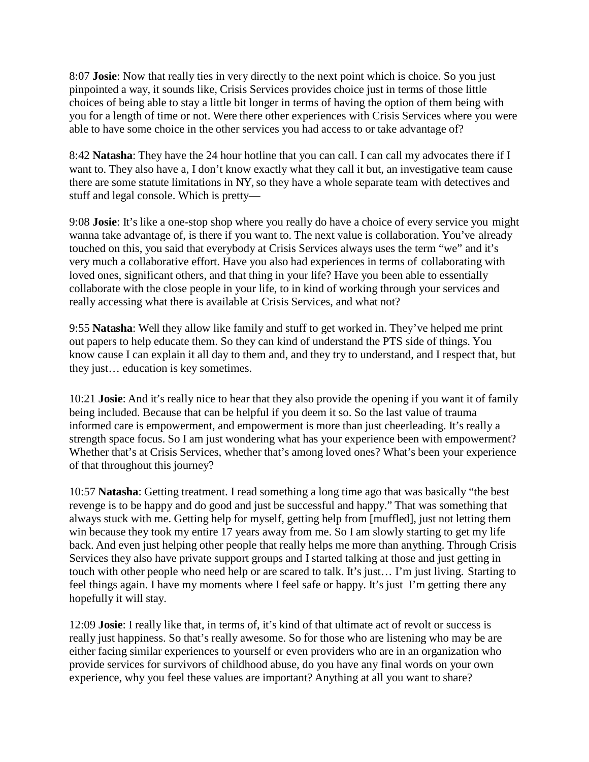8:07 **Josie**: Now that really ties in very directly to the next point which is choice. So you just pinpointed a way, it sounds like, Crisis Services provides choice just in terms of those little choices of being able to stay a little bit longer in terms of having the option of them being with you for a length of time or not. Were there other experiences with Crisis Services where you were able to have some choice in the other services you had access to or take advantage of?

8:42 **Natasha**: They have the 24 hour hotline that you can call. I can call my advocates there if I want to. They also have a, I don't know exactly what they call it but, an investigative team cause there are some statute limitations in NY, so they have a whole separate team with detectives and stuff and legal console. Which is pretty—

9:08 **Josie**: It's like a one-stop shop where you really do have a choice of every service you might wanna take advantage of, is there if you want to. The next value is collaboration. You've already touched on this, you said that everybody at Crisis Services always uses the term "we" and it's very much a collaborative effort. Have you also had experiences in terms of collaborating with loved ones, significant others, and that thing in your life? Have you been able to essentially collaborate with the close people in your life, to in kind of working through your services and really accessing what there is available at Crisis Services, and what not?

9:55 **Natasha**: Well they allow like family and stuff to get worked in. They've helped me print out papers to help educate them. So they can kind of understand the PTS side of things. You know cause I can explain it all day to them and, and they try to understand, and I respect that, but they just… education is key sometimes.

10:21 **Josie**: And it's really nice to hear that they also provide the opening if you want it of family being included. Because that can be helpful if you deem it so. So the last value of trauma informed care is empowerment, and empowerment is more than just cheerleading. It's really a strength space focus. So I am just wondering what has your experience been with empowerment? Whether that's at Crisis Services, whether that's among loved ones? What's been your experience of that throughout this journey?

10:57 **Natasha**: Getting treatment. I read something a long time ago that was basically "the best revenge is to be happy and do good and just be successful and happy." That was something that always stuck with me. Getting help for myself, getting help from [muffled], just not letting them win because they took my entire 17 years away from me. So I am slowly starting to get my life back. And even just helping other people that really helps me more than anything. Through Crisis Services they also have private support groups and I started talking at those and just getting in touch with other people who need help or are scared to talk. It's just… I'm just living. Starting to feel things again. I have my moments where I feel safe or happy. It's just I'm getting there any hopefully it will stay.

12:09 **Josie**: I really like that, in terms of, it's kind of that ultimate act of revolt or success is really just happiness. So that's really awesome. So for those who are listening who may be are either facing similar experiences to yourself or even providers who are in an organization who provide services for survivors of childhood abuse, do you have any final words on your own experience, why you feel these values are important? Anything at all you want to share?